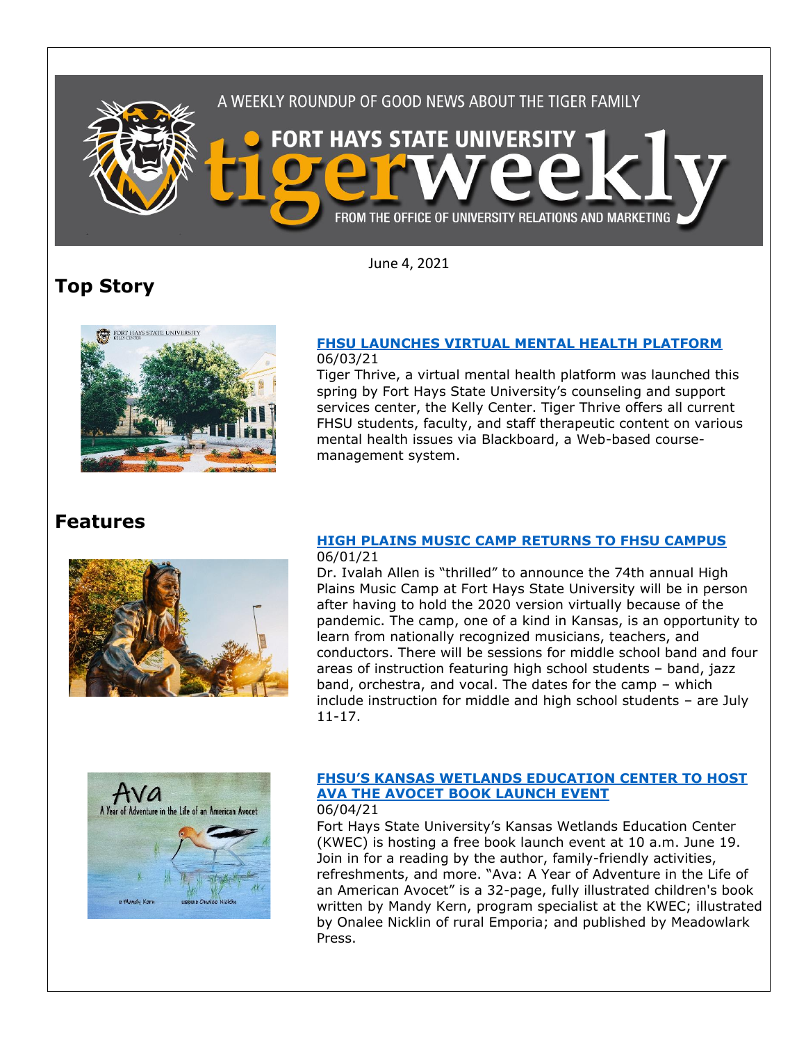

June 4, 2021

# **Top Story**



#### **[FHSU LAUNCHES VIRTUAL MENTAL HEALTH PLATFORM](https://www.fhsu.edu/news/2021/06/fhsu-launches-virtual-mental-health-platform)** 06/03/21

Tiger Thrive, a virtual mental health platform was launched this spring by Fort Hays State University's counseling and support services center, the Kelly Center. Tiger Thrive offers all current FHSU students, faculty, and staff therapeutic content on various mental health issues via Blackboard, a Web-based coursemanagement system.

### **Features**



#### **[HIGH PLAINS MUSIC CAMP RETURNS TO FHSU CAMPUS](https://www.fhsu.edu/news/2021/06/high-plains-music-camp-returns-to-fhsu-campus)** 06/01/21

Dr. Ivalah Allen is "thrilled" to announce the 74th annual High Plains Music Camp at Fort Hays State University will be in person after having to hold the 2020 version virtually because of the pandemic. The camp, one of a kind in Kansas, is an opportunity to learn from nationally recognized musicians, teachers, and conductors. There will be sessions for middle school band and four areas of instruction featuring high school students – band, jazz band, orchestra, and vocal. The dates for the camp – which include instruction for middle and high school students – are July 11-17.



#### **FHSU['S KANSAS WETLANDS EDUCATION CENTER TO HOST](https://www.fhsu.edu/news/2021/06/fhsus-kansas-wetlands-education-center-to-host-ava-the-avocet-book-launch-event)  [AVA THE AVOCET BOOK LAUNCH EVENT](https://www.fhsu.edu/news/2021/06/fhsus-kansas-wetlands-education-center-to-host-ava-the-avocet-book-launch-event)** 06/04/21

Fort Hays State University's Kansas Wetlands Education Center (KWEC) is hosting a free book launch event at 10 a.m. June 19. Join in for a reading by the author, family-friendly activities, refreshments, and more. "Ava: A Year of Adventure in the Life of an American Avocet" is a 32-page, fully illustrated children's book written by Mandy Kern, program specialist at the KWEC; illustrated by Onalee Nicklin of rural Emporia; and published by Meadowlark Press.